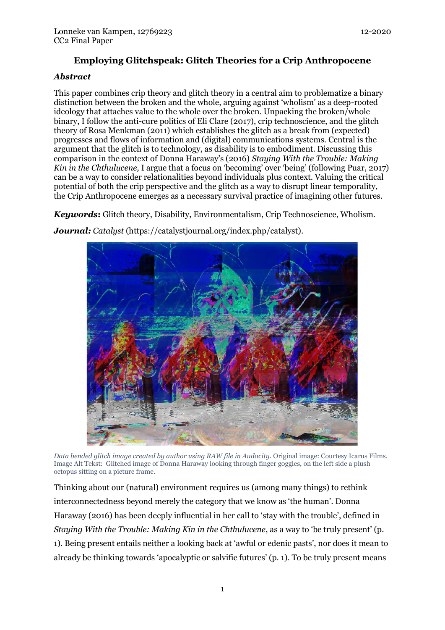# **Employing Glitchspeak: Glitch Theories for a Crip Anthropocene**

## *Abstract*

This paper combines crip theory and glitch theory in a central aim to problematize a binary distinction between the broken and the whole, arguing against 'wholism' as a deep-rooted ideology that attaches value to the whole over the broken. Unpacking the broken/whole binary, I follow the anti-cure politics of Eli Clare (2017), crip technoscience, and the glitch theory of Rosa Menkman (2011) which establishes the glitch as a break from (expected) progresses and flows of information and (digital) communications systems. Central is the argument that the glitch is to technology, as disability is to embodiment. Discussing this comparison in the context of Donna Haraway's (2016) *Staying With the Trouble: Making Kin in the Chthulucene,* I argue that a focus on 'becoming' over 'being' (following Puar, 2017) can be a way to consider relationalities beyond individuals plus context. Valuing the critical potential of both the crip perspective and the glitch as a way to disrupt linear temporality, the Crip Anthropocene emerges as a necessary survival practice of imagining other futures.

*Keywords***:** Glitch theory, Disability, Environmentalism, Crip Technoscience, Wholism.

*Journal: Catalyst* (https://catalystjournal.org/index.php/catalyst).



*Data bended glitch image created by author using RAW file in Audacity.* Original image: Courtesy Icarus Films. Image Alt Tekst: Glitched image of Donna Haraway looking through finger goggles, on the left side a plush octopus sitting on a picture frame.

Thinking about our (natural) environment requires us (among many things) to rethink interconnectedness beyond merely the category that we know as 'the human'. Donna Haraway (2016) has been deeply influential in her call to 'stay with the trouble', defined in *Staying With the Trouble: Making Kin in the Chthulucene*, as a way to 'be truly present' (p. 1). Being present entails neither a looking back at 'awful or edenic pasts', nor does it mean to already be thinking towards 'apocalyptic or salvific futures' (p. 1). To be truly present means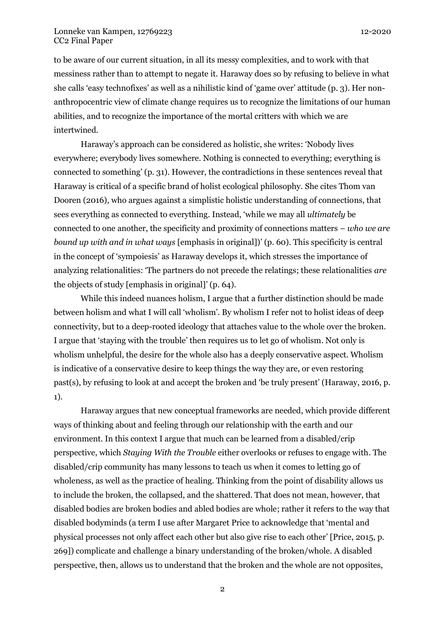to be aware of our current situation, in all its messy complexities, and to work with that messiness rather than to attempt to negate it. Haraway does so by refusing to believe in what she calls 'easy technofixes' as well as a nihilistic kind of 'game over' attitude (p. 3). Her nonanthropocentric view of climate change requires us to recognize the limitations of our human abilities, and to recognize the importance of the mortal critters with which we are intertwined.

Haraway's approach can be considered as holistic, she writes: 'Nobody lives everywhere; everybody lives somewhere. Nothing is connected to everything; everything is connected to something' (p. 31). However, the contradictions in these sentences reveal that Haraway is critical of a specific brand of holist ecological philosophy. She cites Thom van Dooren (2016), who argues against a simplistic holistic understanding of connections, that sees everything as connected to everything. Instead, 'while we may all *ultimately* be connected to one another, the specificity and proximity of connections matters – *who we are bound up with and in what ways* [emphasis in original])' (p. 60). This specificity is central in the concept of 'sympoiesis' as Haraway develops it, which stresses the importance of analyzing relationalities: 'The partners do not precede the relatings; these relationalities *are*  the objects of study [emphasis in original]' (p. 64).

While this indeed nuances holism, I argue that a further distinction should be made between holism and what I will call 'wholism'. By wholism I refer not to holist ideas of deep connectivity, but to a deep-rooted ideology that attaches value to the whole over the broken. I argue that 'staying with the trouble' then requires us to let go of wholism. Not only is wholism unhelpful, the desire for the whole also has a deeply conservative aspect. Wholism is indicative of a conservative desire to keep things the way they are, or even restoring past(s), by refusing to look at and accept the broken and 'be truly present' (Haraway, 2016, p. 1).

Haraway argues that new conceptual frameworks are needed, which provide different ways of thinking about and feeling through our relationship with the earth and our environment. In this context I argue that much can be learned from a disabled/crip perspective, which *Staying With the Trouble* either overlooks or refuses to engage with. The disabled/crip community has many lessons to teach us when it comes to letting go of wholeness, as well as the practice of healing. Thinking from the point of disability allows us to include the broken, the collapsed, and the shattered. That does not mean, however, that disabled bodies are broken bodies and abled bodies are whole; rather it refers to the way that disabled bodyminds (a term I use after Margaret Price to acknowledge that 'mental and physical processes not only affect each other but also give rise to each other' [Price, 2015, p. 269]) complicate and challenge a binary understanding of the broken/whole. A disabled perspective, then, allows us to understand that the broken and the whole are not opposites,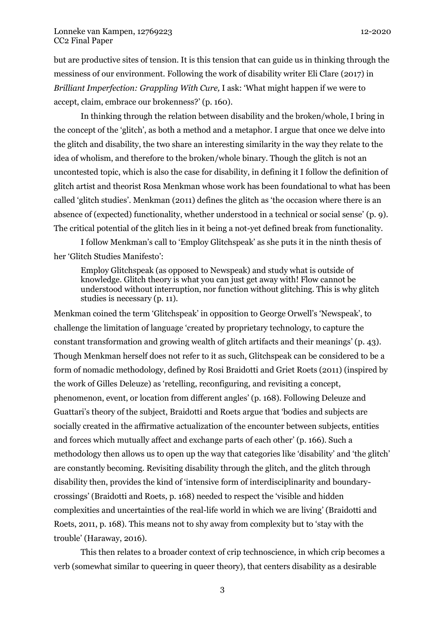but are productive sites of tension. It is this tension that can guide us in thinking through the messiness of our environment. Following the work of disability writer Eli Clare (2017) in *Brilliant Imperfection: Grappling With Cure,* I ask: 'What might happen if we were to accept, claim, embrace our brokenness?' (p. 160).

In thinking through the relation between disability and the broken/whole, I bring in the concept of the 'glitch', as both a method and a metaphor. I argue that once we delve into the glitch and disability, the two share an interesting similarity in the way they relate to the idea of wholism, and therefore to the broken/whole binary. Though the glitch is not an uncontested topic, which is also the case for disability, in defining it I follow the definition of glitch artist and theorist Rosa Menkman whose work has been foundational to what has been called 'glitch studies'. Menkman (2011) defines the glitch as 'the occasion where there is an absence of (expected) functionality, whether understood in a technical or social sense' (p. 9). The critical potential of the glitch lies in it being a not-yet defined break from functionality.

I follow Menkman's call to 'Employ Glitchspeak' as she puts it in the ninth thesis of her 'Glitch Studies Manifesto':

Employ Glitchspeak (as opposed to Newspeak) and study what is outside of knowledge. Glitch theory is what you can just get away with! Flow cannot be understood without interruption, nor function without glitching. This is why glitch studies is necessary (p. 11).

Menkman coined the term 'Glitchspeak' in opposition to George Orwell's 'Newspeak', to challenge the limitation of language 'created by proprietary technology, to capture the constant transformation and growing wealth of glitch artifacts and their meanings' (p. 43). Though Menkman herself does not refer to it as such, Glitchspeak can be considered to be a form of nomadic methodology, defined by Rosi Braidotti and Griet Roets (2011) (inspired by the work of Gilles Deleuze) as 'retelling, reconfiguring, and revisiting a concept, phenomenon, event, or location from different angles' (p. 168). Following Deleuze and Guattari's theory of the subject, Braidotti and Roets argue that 'bodies and subjects are socially created in the affirmative actualization of the encounter between subjects, entities and forces which mutually affect and exchange parts of each other' (p. 166). Such a methodology then allows us to open up the way that categories like 'disability' and 'the glitch' are constantly becoming. Revisiting disability through the glitch, and the glitch through disability then, provides the kind of 'intensive form of interdisciplinarity and boundarycrossings' (Braidotti and Roets, p. 168) needed to respect the 'visible and hidden complexities and uncertainties of the real-life world in which we are living' (Braidotti and Roets, 2011, p. 168). This means not to shy away from complexity but to 'stay with the trouble' (Haraway, 2016).

This then relates to a broader context of crip technoscience, in which crip becomes a verb (somewhat similar to queering in queer theory), that centers disability as a desirable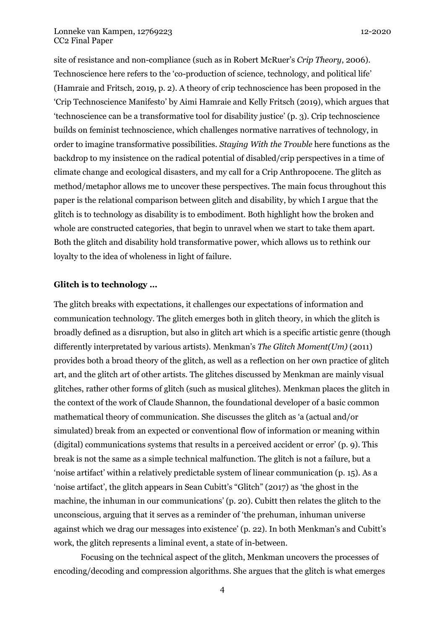site of resistance and non-compliance (such as in Robert McRuer's *Crip Theory*, 2006). Technoscience here refers to the 'co-production of science, technology, and political life' (Hamraie and Fritsch, 2019, p. 2). A theory of crip technoscience has been proposed in the 'Crip Technoscience Manifesto' by Aimi Hamraie and Kelly Fritsch (2019), which argues that 'technoscience can be a transformative tool for disability justice' (p. 3). Crip technoscience builds on feminist technoscience, which challenges normative narratives of technology, in order to imagine transformative possibilities. *Staying With the Trouble* here functions as the backdrop to my insistence on the radical potential of disabled/crip perspectives in a time of climate change and ecological disasters, and my call for a Crip Anthropocene. The glitch as method/metaphor allows me to uncover these perspectives. The main focus throughout this paper is the relational comparison between glitch and disability, by which I argue that the glitch is to technology as disability is to embodiment. Both highlight how the broken and whole are constructed categories, that begin to unravel when we start to take them apart. Both the glitch and disability hold transformative power, which allows us to rethink our loyalty to the idea of wholeness in light of failure.

#### **Glitch is to technology …**

The glitch breaks with expectations, it challenges our expectations of information and communication technology. The glitch emerges both in glitch theory, in which the glitch is broadly defined as a disruption, but also in glitch art which is a specific artistic genre (though differently interpretated by various artists). Menkman's *The Glitch Moment(Um)* (2011) provides both a broad theory of the glitch, as well as a reflection on her own practice of glitch art, and the glitch art of other artists. The glitches discussed by Menkman are mainly visual glitches, rather other forms of glitch (such as musical glitches). Menkman places the glitch in the context of the work of Claude Shannon, the foundational developer of a basic common mathematical theory of communication. She discusses the glitch as 'a (actual and/or simulated) break from an expected or conventional flow of information or meaning within (digital) communications systems that results in a perceived accident or error' (p. 9). This break is not the same as a simple technical malfunction. The glitch is not a failure, but a 'noise artifact' within a relatively predictable system of linear communication (p. 15). As a 'noise artifact', the glitch appears in Sean Cubitt's "Glitch" (2017) as 'the ghost in the machine, the inhuman in our communications' (p. 20). Cubitt then relates the glitch to the unconscious, arguing that it serves as a reminder of 'the prehuman, inhuman universe against which we drag our messages into existence' (p. 22). In both Menkman's and Cubitt's work, the glitch represents a liminal event, a state of in-between.

Focusing on the technical aspect of the glitch, Menkman uncovers the processes of encoding/decoding and compression algorithms. She argues that the glitch is what emerges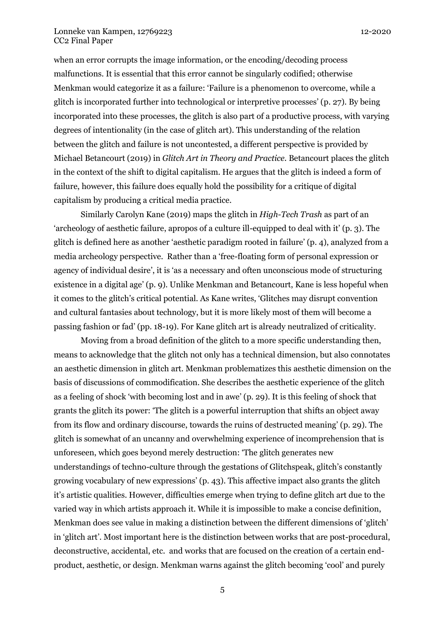when an error corrupts the image information, or the encoding/decoding process malfunctions. It is essential that this error cannot be singularly codified; otherwise Menkman would categorize it as a failure: 'Failure is a phenomenon to overcome, while a glitch is incorporated further into technological or interpretive processes' (p. 27). By being incorporated into these processes, the glitch is also part of a productive process, with varying degrees of intentionality (in the case of glitch art). This understanding of the relation between the glitch and failure is not uncontested, a different perspective is provided by Michael Betancourt (2019) in *Glitch Art in Theory and Practice.* Betancourt places the glitch in the context of the shift to digital capitalism. He argues that the glitch is indeed a form of failure, however, this failure does equally hold the possibility for a critique of digital capitalism by producing a critical media practice.

Similarly Carolyn Kane (2019) maps the glitch in *High-Tech Trash* as part of an 'archeology of aesthetic failure, apropos of a culture ill-equipped to deal with it' (p. 3). The glitch is defined here as another 'aesthetic paradigm rooted in failure' (p. 4), analyzed from a media archeology perspective. Rather than a 'free-floating form of personal expression or agency of individual desire', it is 'as a necessary and often unconscious mode of structuring existence in a digital age' (p. 9). Unlike Menkman and Betancourt, Kane is less hopeful when it comes to the glitch's critical potential. As Kane writes, 'Glitches may disrupt convention and cultural fantasies about technology, but it is more likely most of them will become a passing fashion or fad' (pp. 18-19). For Kane glitch art is already neutralized of criticality.

Moving from a broad definition of the glitch to a more specific understanding then, means to acknowledge that the glitch not only has a technical dimension, but also connotates an aesthetic dimension in glitch art. Menkman problematizes this aesthetic dimension on the basis of discussions of commodification. She describes the aesthetic experience of the glitch as a feeling of shock 'with becoming lost and in awe' (p. 29). It is this feeling of shock that grants the glitch its power: 'The glitch is a powerful interruption that shifts an object away from its flow and ordinary discourse, towards the ruins of destructed meaning' (p. 29). The glitch is somewhat of an uncanny and overwhelming experience of incomprehension that is unforeseen, which goes beyond merely destruction: 'The glitch generates new understandings of techno-culture through the gestations of Glitchspeak, glitch's constantly growing vocabulary of new expressions' (p. 43). This affective impact also grants the glitch it's artistic qualities. However, difficulties emerge when trying to define glitch art due to the varied way in which artists approach it. While it is impossible to make a concise definition, Menkman does see value in making a distinction between the different dimensions of 'glitch' in 'glitch art'. Most important here is the distinction between works that are post-procedural, deconstructive, accidental, etc. and works that are focused on the creation of a certain endproduct, aesthetic, or design. Menkman warns against the glitch becoming 'cool' and purely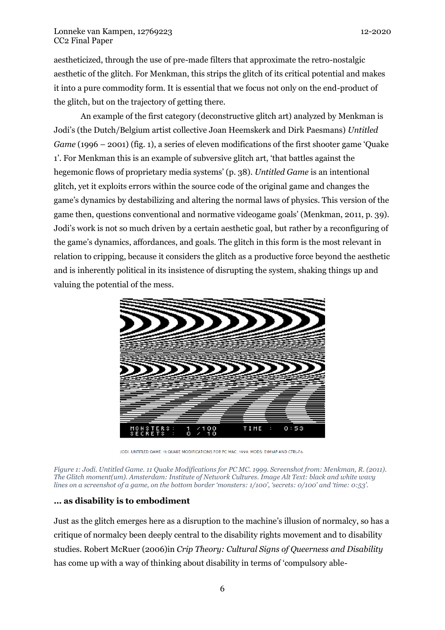aestheticized, through the use of pre-made filters that approximate the retro-nostalgic aesthetic of the glitch. For Menkman, this strips the glitch of its critical potential and makes it into a pure commodity form. It is essential that we focus not only on the end-product of the glitch, but on the trajectory of getting there.

An example of the first category (deconstructive glitch art) analyzed by Menkman is Jodi's (the Dutch/Belgium artist collective Joan Heemskerk and Dirk Paesmans) *Untitled Game* (1996 – 2001) (fig. 1), a series of eleven modifications of the first shooter game 'Quake 1'. For Menkman this is an example of subversive glitch art, 'that battles against the hegemonic flows of proprietary media systems' (p. 38). *Untitled Game* is an intentional glitch, yet it exploits errors within the source code of the original game and changes the game's dynamics by destabilizing and altering the normal laws of physics. This version of the game then, questions conventional and normative videogame goals' (Menkman, 2011, p. 39). Jodi's work is not so much driven by a certain aesthetic goal, but rather by a reconfiguring of the game's dynamics, affordances, and goals. The glitch in this form is the most relevant in relation to cripping, because it considers the glitch as a productive force beyond the aesthetic and is inherently political in its insistence of disrupting the system, shaking things up and valuing the potential of the mess.



JODI. UNTITLED GAME. 11 QUAKE MODIFICATIONS FOR PC MAC. 1999. MODS: E1M1AP AND CTRL-F6.

*Figure 1: Jodi. Untitled Game. 11 Quake Modifications for PC MC. 1999. Screenshot from: Menkman, R. (2011). The Glitch moment(um). Amsterdam: Institute of Network Cultures. Image Alt Text: black and white wavy lines on a screenshot of a game, on the bottom border 'monsters: 1/100', 'secrets: 0/100' and 'time: 0:53'.*

## **… as disability is to embodiment**

Just as the glitch emerges here as a disruption to the machine's illusion of normalcy, so has a critique of normalcy been deeply central to the disability rights movement and to disability studies. Robert McRuer (2006)in *Crip Theory: Cultural Signs of Queerness and Disability*  has come up with a way of thinking about disability in terms of 'compulsory able-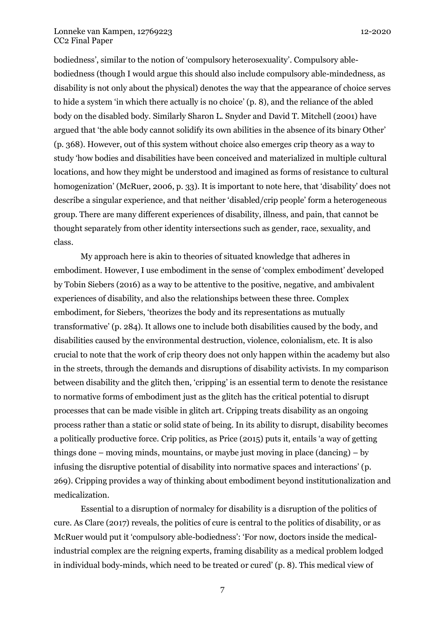bodiedness', similar to the notion of 'compulsory heterosexuality'. Compulsory ablebodiedness (though I would argue this should also include compulsory able-mindedness, as disability is not only about the physical) denotes the way that the appearance of choice serves to hide a system 'in which there actually is no choice' (p. 8), and the reliance of the abled body on the disabled body. Similarly Sharon L. Snyder and David T. Mitchell (2001) have argued that 'the able body cannot solidify its own abilities in the absence of its binary Other' (p. 368). However, out of this system without choice also emerges crip theory as a way to study 'how bodies and disabilities have been conceived and materialized in multiple cultural locations, and how they might be understood and imagined as forms of resistance to cultural homogenization' (McRuer, 2006, p. 33). It is important to note here, that 'disability' does not describe a singular experience, and that neither 'disabled/crip people' form a heterogeneous group. There are many different experiences of disability, illness, and pain, that cannot be thought separately from other identity intersections such as gender, race, sexuality, and class.

My approach here is akin to theories of situated knowledge that adheres in embodiment. However, I use embodiment in the sense of 'complex embodiment' developed by Tobin Siebers (2016) as a way to be attentive to the positive, negative, and ambivalent experiences of disability, and also the relationships between these three. Complex embodiment, for Siebers, 'theorizes the body and its representations as mutually transformative' (p. 284). It allows one to include both disabilities caused by the body, and disabilities caused by the environmental destruction, violence, colonialism, etc. It is also crucial to note that the work of crip theory does not only happen within the academy but also in the streets, through the demands and disruptions of disability activists. In my comparison between disability and the glitch then, 'cripping' is an essential term to denote the resistance to normative forms of embodiment just as the glitch has the critical potential to disrupt processes that can be made visible in glitch art. Cripping treats disability as an ongoing process rather than a static or solid state of being. In its ability to disrupt, disability becomes a politically productive force. Crip politics, as Price (2015) puts it, entails 'a way of getting things done – moving minds, mountains, or maybe just moving in place (dancing) – by infusing the disruptive potential of disability into normative spaces and interactions' (p. 269). Cripping provides a way of thinking about embodiment beyond institutionalization and medicalization.

Essential to a disruption of normalcy for disability is a disruption of the politics of cure. As Clare (2017) reveals, the politics of cure is central to the politics of disability, or as McRuer would put it 'compulsory able-bodiedness': 'For now, doctors inside the medicalindustrial complex are the reigning experts, framing disability as a medical problem lodged in individual body-minds, which need to be treated or cured' (p. 8). This medical view of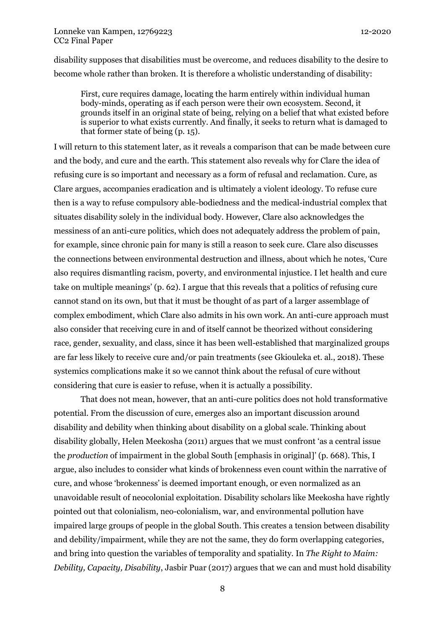disability supposes that disabilities must be overcome, and reduces disability to the desire to become whole rather than broken. It is therefore a wholistic understanding of disability:

First, cure requires damage, locating the harm entirely within individual human body-minds, operating as if each person were their own ecosystem. Second, it grounds itself in an original state of being, relying on a belief that what existed before is superior to what exists currently. And finally, it seeks to return what is damaged to that former state of being (p. 15).

I will return to this statement later, as it reveals a comparison that can be made between cure and the body, and cure and the earth. This statement also reveals why for Clare the idea of refusing cure is so important and necessary as a form of refusal and reclamation. Cure, as Clare argues, accompanies eradication and is ultimately a violent ideology. To refuse cure then is a way to refuse compulsory able-bodiedness and the medical-industrial complex that situates disability solely in the individual body. However, Clare also acknowledges the messiness of an anti-cure politics, which does not adequately address the problem of pain, for example, since chronic pain for many is still a reason to seek cure. Clare also discusses the connections between environmental destruction and illness, about which he notes, 'Cure also requires dismantling racism, poverty, and environmental injustice. I let health and cure take on multiple meanings' (p. 62). I argue that this reveals that a politics of refusing cure cannot stand on its own, but that it must be thought of as part of a larger assemblage of complex embodiment, which Clare also admits in his own work. An anti-cure approach must also consider that receiving cure in and of itself cannot be theorized without considering race, gender, sexuality, and class, since it has been well-established that marginalized groups are far less likely to receive cure and/or pain treatments (see Gkiouleka et. al., 2018). These systemics complications make it so we cannot think about the refusal of cure without considering that cure is easier to refuse, when it is actually a possibility.

That does not mean, however, that an anti-cure politics does not hold transformative potential. From the discussion of cure, emerges also an important discussion around disability and debility when thinking about disability on a global scale. Thinking about disability globally, Helen Meekosha (2011) argues that we must confront 'as a central issue the *production* of impairment in the global South [emphasis in original]' (p. 668). This, I argue, also includes to consider what kinds of brokenness even count within the narrative of cure, and whose 'brokenness' is deemed important enough, or even normalized as an unavoidable result of neocolonial exploitation. Disability scholars like Meekosha have rightly pointed out that colonialism, neo-colonialism, war, and environmental pollution have impaired large groups of people in the global South. This creates a tension between disability and debility/impairment, while they are not the same, they do form overlapping categories, and bring into question the variables of temporality and spatiality. In *The Right to Maim: Debility, Capacity, Disability*, Jasbir Puar (2017) argues that we can and must hold disability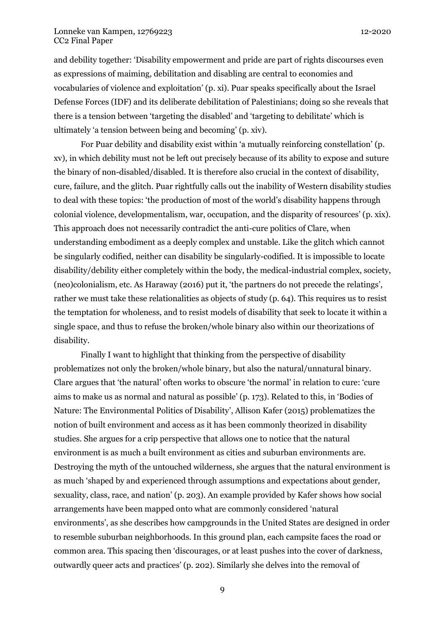and debility together: 'Disability empowerment and pride are part of rights discourses even as expressions of maiming, debilitation and disabling are central to economies and vocabularies of violence and exploitation' (p. xi). Puar speaks specifically about the Israel Defense Forces (IDF) and its deliberate debilitation of Palestinians; doing so she reveals that there is a tension between 'targeting the disabled' and 'targeting to debilitate' which is ultimately 'a tension between being and becoming' (p. xiv).

For Puar debility and disability exist within 'a mutually reinforcing constellation' (p. xv), in which debility must not be left out precisely because of its ability to expose and suture the binary of non-disabled/disabled. It is therefore also crucial in the context of disability, cure, failure, and the glitch. Puar rightfully calls out the inability of Western disability studies to deal with these topics: 'the production of most of the world's disability happens through colonial violence, developmentalism, war, occupation, and the disparity of resources' (p. xix). This approach does not necessarily contradict the anti-cure politics of Clare, when understanding embodiment as a deeply complex and unstable. Like the glitch which cannot be singularly codified, neither can disability be singularly-codified. It is impossible to locate disability/debility either completely within the body, the medical-industrial complex, society, (neo)colonialism, etc. As Haraway (2016) put it, 'the partners do not precede the relatings', rather we must take these relationalities as objects of study (p. 64). This requires us to resist the temptation for wholeness, and to resist models of disability that seek to locate it within a single space, and thus to refuse the broken/whole binary also within our theorizations of disability.

Finally I want to highlight that thinking from the perspective of disability problematizes not only the broken/whole binary, but also the natural/unnatural binary. Clare argues that 'the natural' often works to obscure 'the normal' in relation to cure: 'cure aims to make us as normal and natural as possible' (p. 173). Related to this, in 'Bodies of Nature: The Environmental Politics of Disability', Allison Kafer (2015) problematizes the notion of built environment and access as it has been commonly theorized in disability studies. She argues for a crip perspective that allows one to notice that the natural environment is as much a built environment as cities and suburban environments are. Destroying the myth of the untouched wilderness, she argues that the natural environment is as much 'shaped by and experienced through assumptions and expectations about gender, sexuality, class, race, and nation' (p. 203). An example provided by Kafer shows how social arrangements have been mapped onto what are commonly considered 'natural environments', as she describes how campgrounds in the United States are designed in order to resemble suburban neighborhoods. In this ground plan, each campsite faces the road or common area. This spacing then 'discourages, or at least pushes into the cover of darkness, outwardly queer acts and practices' (p. 202). Similarly she delves into the removal of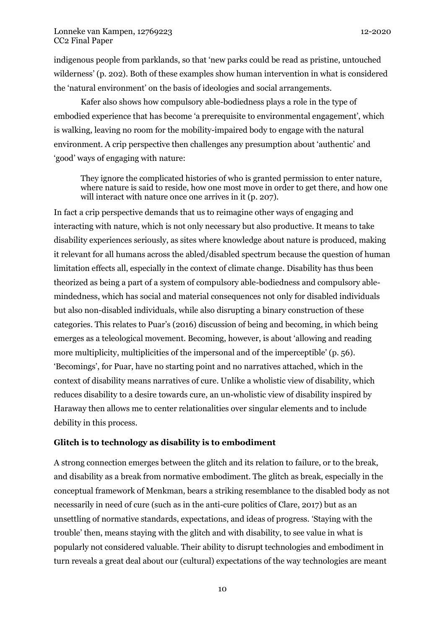indigenous people from parklands, so that 'new parks could be read as pristine, untouched wilderness' (p. 202). Both of these examples show human intervention in what is considered the 'natural environment' on the basis of ideologies and social arrangements.

Kafer also shows how compulsory able-bodiedness plays a role in the type of embodied experience that has become 'a prerequisite to environmental engagement', which is walking, leaving no room for the mobility-impaired body to engage with the natural environment. A crip perspective then challenges any presumption about 'authentic' and 'good' ways of engaging with nature:

They ignore the complicated histories of who is granted permission to enter nature, where nature is said to reside, how one most move in order to get there, and how one will interact with nature once one arrives in it (p. 207).

In fact a crip perspective demands that us to reimagine other ways of engaging and interacting with nature, which is not only necessary but also productive. It means to take disability experiences seriously, as sites where knowledge about nature is produced, making it relevant for all humans across the abled/disabled spectrum because the question of human limitation effects all, especially in the context of climate change. Disability has thus been theorized as being a part of a system of compulsory able-bodiedness and compulsory ablemindedness, which has social and material consequences not only for disabled individuals but also non-disabled individuals, while also disrupting a binary construction of these categories. This relates to Puar's (2016) discussion of being and becoming, in which being emerges as a teleological movement. Becoming, however, is about 'allowing and reading more multiplicity, multiplicities of the impersonal and of the imperceptible' (p. 56). 'Becomings', for Puar, have no starting point and no narratives attached, which in the context of disability means narratives of cure. Unlike a wholistic view of disability, which reduces disability to a desire towards cure, an un-wholistic view of disability inspired by Haraway then allows me to center relationalities over singular elements and to include debility in this process.

## **Glitch is to technology as disability is to embodiment**

A strong connection emerges between the glitch and its relation to failure, or to the break, and disability as a break from normative embodiment. The glitch as break, especially in the conceptual framework of Menkman, bears a striking resemblance to the disabled body as not necessarily in need of cure (such as in the anti-cure politics of Clare, 2017) but as an unsettling of normative standards, expectations, and ideas of progress. 'Staying with the trouble' then, means staying with the glitch and with disability, to see value in what is popularly not considered valuable. Their ability to disrupt technologies and embodiment in turn reveals a great deal about our (cultural) expectations of the way technologies are meant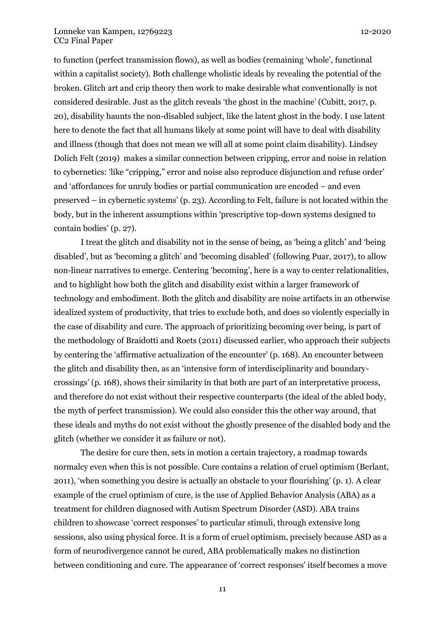to function (perfect transmission flows), as well as bodies (remaining 'whole', functional within a capitalist society). Both challenge wholistic ideals by revealing the potential of the broken. Glitch art and crip theory then work to make desirable what conventionally is not considered desirable. Just as the glitch reveals 'the ghost in the machine' (Cubitt, 2017, p. 20), disability haunts the non-disabled subject, like the latent ghost in the body. I use latent here to denote the fact that all humans likely at some point will have to deal with disability and illness (though that does not mean we will all at some point claim disability). Lindsey Dolich Felt (2019) makes a similar connection between cripping, error and noise in relation to cybernetics: 'like "cripping," error and noise also reproduce disjunction and refuse order' and 'affordances for unruly bodies or partial communication are encoded – and even preserved – in cybernetic systems' (p. 23). According to Felt, failure is not located within the body, but in the inherent assumptions within 'prescriptive top-down systems designed to contain bodies' (p. 27).

I treat the glitch and disability not in the sense of being, as 'being a glitch' and 'being disabled', but as 'becoming a glitch' and 'becoming disabled' (following Puar, 2017), to allow non-linear narratives to emerge. Centering 'becoming', here is a way to center relationalities, and to highlight how both the glitch and disability exist within a larger framework of technology and embodiment. Both the glitch and disability are noise artifacts in an otherwise idealized system of productivity, that tries to exclude both, and does so violently especially in the case of disability and cure. The approach of prioritizing becoming over being, is part of the methodology of Braidotti and Roets (2011) discussed earlier, who approach their subjects by centering the 'affirmative actualization of the encounter' (p. 168). An encounter between the glitch and disability then, as an 'intensive form of interdisciplinarity and boundarycrossings' (p. 168), shows their similarity in that both are part of an interpretative process, and therefore do not exist without their respective counterparts (the ideal of the abled body, the myth of perfect transmission). We could also consider this the other way around, that these ideals and myths do not exist without the ghostly presence of the disabled body and the glitch (whether we consider it as failure or not).

The desire for cure then, sets in motion a certain trajectory, a roadmap towards normalcy even when this is not possible. Cure contains a relation of cruel optimism (Berlant, 2011), 'when something you desire is actually an obstacle to your flourishing' (p. 1). A clear example of the cruel optimism of cure, is the use of Applied Behavior Analysis (ABA) as a treatment for children diagnosed with Autism Spectrum Disorder (ASD). ABA trains children to showcase 'correct responses' to particular stimuli, through extensive long sessions, also using physical force. It is a form of cruel optimism, precisely because ASD as a form of neurodivergence cannot be cured, ABA problematically makes no distinction between conditioning and cure. The appearance of 'correct responses' itself becomes a move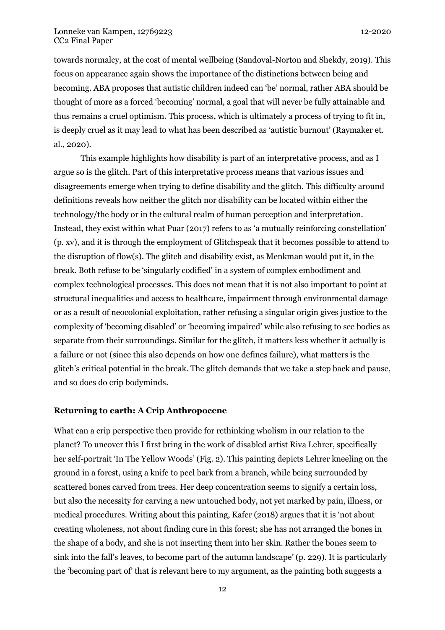towards normalcy, at the cost of mental wellbeing (Sandoval-Norton and Shekdy, 2019). This focus on appearance again shows the importance of the distinctions between being and becoming. ABA proposes that autistic children indeed can 'be' normal, rather ABA should be thought of more as a forced 'becoming' normal, a goal that will never be fully attainable and thus remains a cruel optimism. This process, which is ultimately a process of trying to fit in, is deeply cruel as it may lead to what has been described as 'autistic burnout' (Raymaker et. al., 2020).

This example highlights how disability is part of an interpretative process, and as I argue so is the glitch. Part of this interpretative process means that various issues and disagreements emerge when trying to define disability and the glitch. This difficulty around definitions reveals how neither the glitch nor disability can be located within either the technology/the body or in the cultural realm of human perception and interpretation. Instead, they exist within what Puar (2017) refers to as 'a mutually reinforcing constellation' (p. xv), and it is through the employment of Glitchspeak that it becomes possible to attend to the disruption of flow(s). The glitch and disability exist, as Menkman would put it, in the break. Both refuse to be 'singularly codified' in a system of complex embodiment and complex technological processes. This does not mean that it is not also important to point at structural inequalities and access to healthcare, impairment through environmental damage or as a result of neocolonial exploitation, rather refusing a singular origin gives justice to the complexity of 'becoming disabled' or 'becoming impaired' while also refusing to see bodies as separate from their surroundings. Similar for the glitch, it matters less whether it actually is a failure or not (since this also depends on how one defines failure), what matters is the glitch's critical potential in the break. The glitch demands that we take a step back and pause, and so does do crip bodyminds.

## **Returning to earth: A Crip Anthropocene**

What can a crip perspective then provide for rethinking wholism in our relation to the planet? To uncover this I first bring in the work of disabled artist Riva Lehrer, specifically her self-portrait 'In The Yellow Woods' (Fig. 2). This painting depicts Lehrer kneeling on the ground in a forest, using a knife to peel bark from a branch, while being surrounded by scattered bones carved from trees. Her deep concentration seems to signify a certain loss, but also the necessity for carving a new untouched body, not yet marked by pain, illness, or medical procedures. Writing about this painting, Kafer (2018) argues that it is 'not about creating wholeness, not about finding cure in this forest; she has not arranged the bones in the shape of a body, and she is not inserting them into her skin. Rather the bones seem to sink into the fall's leaves, to become part of the autumn landscape' (p. 229). It is particularly the 'becoming part of' that is relevant here to my argument, as the painting both suggests a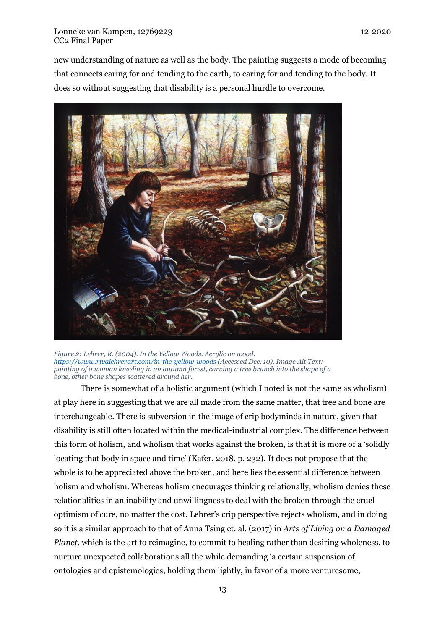new understanding of nature as well as the body. The painting suggests a mode of becoming that connects caring for and tending to the earth, to caring for and tending to the body. It does so without suggesting that disability is a personal hurdle to overcome.



*Figure 2: Lehrer, R. (2004). In the Yellow Woods. Acrylic on wood. <https://www.rivalehrerart.com/in-the-yellow-woods> (Accessed Dec. 10). Image Alt Text: painting of a woman kneeling in an autumn forest, carving a tree branch into the shape of a bone, other bone shapes scattered around her.*

There is somewhat of a holistic argument (which I noted is not the same as wholism) at play here in suggesting that we are all made from the same matter, that tree and bone are interchangeable. There is subversion in the image of crip bodyminds in nature, given that disability is still often located within the medical-industrial complex. The difference between this form of holism, and wholism that works against the broken, is that it is more of a 'solidly locating that body in space and time' (Kafer, 2018, p. 232). It does not propose that the whole is to be appreciated above the broken, and here lies the essential difference between holism and wholism. Whereas holism encourages thinking relationally, wholism denies these relationalities in an inability and unwillingness to deal with the broken through the cruel optimism of cure, no matter the cost. Lehrer's crip perspective rejects wholism, and in doing so it is a similar approach to that of Anna Tsing et. al. (2017) in *Arts of Living on a Damaged Planet*, which is the art to reimagine, to commit to healing rather than desiring wholeness, to nurture unexpected collaborations all the while demanding 'a certain suspension of ontologies and epistemologies, holding them lightly, in favor of a more venturesome,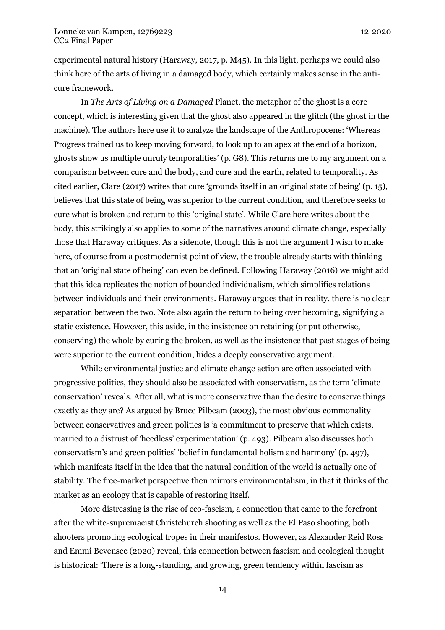experimental natural history (Haraway, 2017, p. M45). In this light, perhaps we could also think here of the arts of living in a damaged body, which certainly makes sense in the anticure framework.

In *The Arts of Living on a Damaged* Planet, the metaphor of the ghost is a core concept, which is interesting given that the ghost also appeared in the glitch (the ghost in the machine). The authors here use it to analyze the landscape of the Anthropocene: 'Whereas Progress trained us to keep moving forward, to look up to an apex at the end of a horizon, ghosts show us multiple unruly temporalities' (p. G8). This returns me to my argument on a comparison between cure and the body, and cure and the earth, related to temporality. As cited earlier, Clare (2017) writes that cure 'grounds itself in an original state of being' (p. 15), believes that this state of being was superior to the current condition, and therefore seeks to cure what is broken and return to this 'original state'. While Clare here writes about the body, this strikingly also applies to some of the narratives around climate change, especially those that Haraway critiques. As a sidenote, though this is not the argument I wish to make here, of course from a postmodernist point of view, the trouble already starts with thinking that an 'original state of being' can even be defined. Following Haraway (2016) we might add that this idea replicates the notion of bounded individualism, which simplifies relations between individuals and their environments. Haraway argues that in reality, there is no clear separation between the two. Note also again the return to being over becoming, signifying a static existence. However, this aside, in the insistence on retaining (or put otherwise, conserving) the whole by curing the broken, as well as the insistence that past stages of being were superior to the current condition, hides a deeply conservative argument.

While environmental justice and climate change action are often associated with progressive politics, they should also be associated with conservatism, as the term 'climate conservation' reveals. After all, what is more conservative than the desire to conserve things exactly as they are? As argued by Bruce Pilbeam (2003), the most obvious commonality between conservatives and green politics is 'a commitment to preserve that which exists, married to a distrust of 'heedless' experimentation' (p. 493). Pilbeam also discusses both conservatism's and green politics' 'belief in fundamental holism and harmony' (p. 497), which manifests itself in the idea that the natural condition of the world is actually one of stability. The free-market perspective then mirrors environmentalism, in that it thinks of the market as an ecology that is capable of restoring itself.

More distressing is the rise of eco-fascism, a connection that came to the forefront after the white-supremacist Christchurch shooting as well as the El Paso shooting, both shooters promoting ecological tropes in their manifestos. However, as Alexander Reid Ross and Emmi Bevensee (2020) reveal, this connection between fascism and ecological thought is historical: 'There is a long-standing, and growing, green tendency within fascism as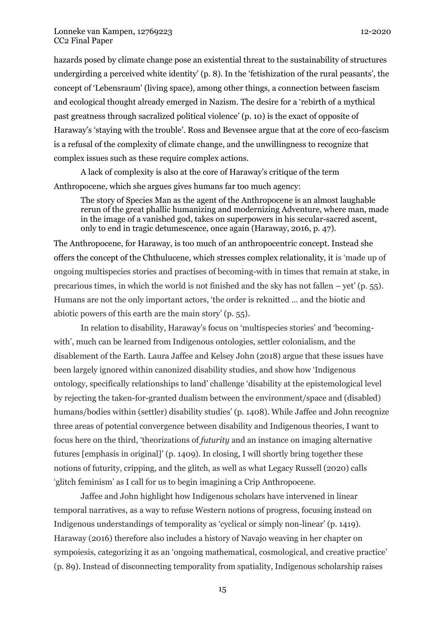hazards posed by climate change pose an existential threat to the sustainability of structures undergirding a perceived white identity' (p. 8). In the 'fetishization of the rural peasants', the concept of 'Lebensraum' (living space), among other things, a connection between fascism and ecological thought already emerged in Nazism. The desire for a 'rebirth of a mythical past greatness through sacralized political violence' (p. 10) is the exact of opposite of Haraway's 'staying with the trouble'. Ross and Bevensee argue that at the core of eco-fascism is a refusal of the complexity of climate change, and the unwillingness to recognize that complex issues such as these require complex actions.

A lack of complexity is also at the core of Haraway's critique of the term Anthropocene, which she argues gives humans far too much agency:

The story of Species Man as the agent of the Anthropocene is an almost laughable rerun of the great phallic humanizing and modernizing Adventure, where man, made in the image of a vanished god, takes on superpowers in his secular-sacred ascent, only to end in tragic detumescence, once again (Haraway, 2016, p. 47).

The Anthropocene, for Haraway, is too much of an anthropocentric concept. Instead she offers the concept of the Chthulucene, which stresses complex relationality, it is 'made up of ongoing multispecies stories and practises of becoming-with in times that remain at stake, in precarious times, in which the world is not finished and the sky has not fallen – yet' (p.  $55$ ). Humans are not the only important actors, 'the order is reknitted … and the biotic and abiotic powers of this earth are the main story' (p. 55).

In relation to disability, Haraway's focus on 'multispecies stories' and 'becomingwith', much can be learned from Indigenous ontologies, settler colonialism, and the disablement of the Earth. Laura Jaffee and Kelsey John (2018) argue that these issues have been largely ignored within canonized disability studies, and show how 'Indigenous ontology, specifically relationships to land' challenge 'disability at the epistemological level by rejecting the taken-for-granted dualism between the environment/space and (disabled) humans/bodies within (settler) disability studies' (p. 1408). While Jaffee and John recognize three areas of potential convergence between disability and Indigenous theories, I want to focus here on the third, 'theorizations of *futurity* and an instance on imaging alternative futures [emphasis in original]' (p. 1409). In closing, I will shortly bring together these notions of futurity, cripping, and the glitch, as well as what Legacy Russell (2020) calls 'glitch feminism' as I call for us to begin imagining a Crip Anthropocene.

Jaffee and John highlight how Indigenous scholars have intervened in linear temporal narratives, as a way to refuse Western notions of progress, focusing instead on Indigenous understandings of temporality as 'cyclical or simply non-linear' (p. 1419). Haraway (2016) therefore also includes a history of Navajo weaving in her chapter on sympoiesis, categorizing it as an 'ongoing mathematical, cosmological, and creative practice' (p. 89). Instead of disconnecting temporality from spatiality, Indigenous scholarship raises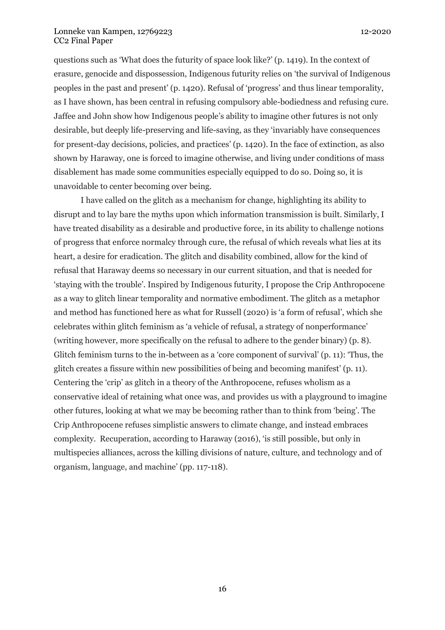questions such as 'What does the futurity of space look like?' (p. 1419). In the context of erasure, genocide and dispossession, Indigenous futurity relies on 'the survival of Indigenous peoples in the past and present' (p. 1420). Refusal of 'progress' and thus linear temporality, as I have shown, has been central in refusing compulsory able-bodiedness and refusing cure. Jaffee and John show how Indigenous people's ability to imagine other futures is not only desirable, but deeply life-preserving and life-saving, as they 'invariably have consequences for present-day decisions, policies, and practices' (p. 1420). In the face of extinction, as also shown by Haraway, one is forced to imagine otherwise, and living under conditions of mass disablement has made some communities especially equipped to do so. Doing so, it is unavoidable to center becoming over being.

I have called on the glitch as a mechanism for change, highlighting its ability to disrupt and to lay bare the myths upon which information transmission is built. Similarly, I have treated disability as a desirable and productive force, in its ability to challenge notions of progress that enforce normalcy through cure, the refusal of which reveals what lies at its heart, a desire for eradication. The glitch and disability combined, allow for the kind of refusal that Haraway deems so necessary in our current situation, and that is needed for 'staying with the trouble'. Inspired by Indigenous futurity, I propose the Crip Anthropocene as a way to glitch linear temporality and normative embodiment. The glitch as a metaphor and method has functioned here as what for Russell (2020) is 'a form of refusal', which she celebrates within glitch feminism as 'a vehicle of refusal, a strategy of nonperformance' (writing however, more specifically on the refusal to adhere to the gender binary) (p. 8). Glitch feminism turns to the in-between as a 'core component of survival' (p. 11): 'Thus, the glitch creates a fissure within new possibilities of being and becoming manifest' (p. 11). Centering the 'crip' as glitch in a theory of the Anthropocene, refuses wholism as a conservative ideal of retaining what once was, and provides us with a playground to imagine other futures, looking at what we may be becoming rather than to think from 'being'. The Crip Anthropocene refuses simplistic answers to climate change, and instead embraces complexity. Recuperation, according to Haraway (2016), 'is still possible, but only in multispecies alliances, across the killing divisions of nature, culture, and technology and of organism, language, and machine' (pp. 117-118).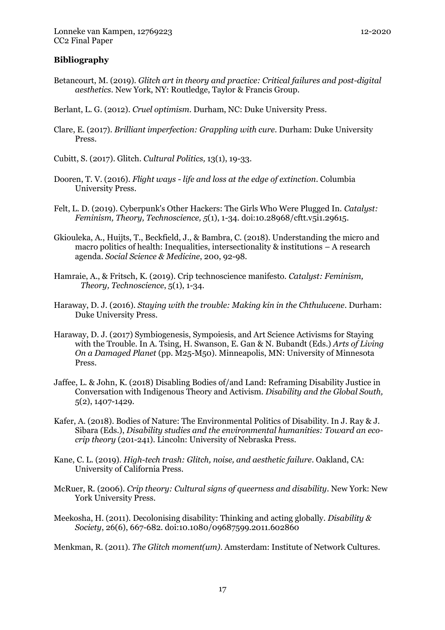#### **Bibliography**

- Betancourt, M. (2019). *Glitch art in theory and practice: Critical failures and post-digital aesthetics*. New York, NY: Routledge, Taylor & Francis Group.
- Berlant, L. G. (2012). *Cruel optimism*. Durham, NC: Duke University Press.
- Clare, E. (2017). *Brilliant imperfection: Grappling with cure*. Durham: Duke University Press.
- Cubitt, S. (2017). Glitch. *Cultural Politics,* 13(1), 19-33.
- Dooren, T. V. (2016). *Flight ways - life and loss at the edge of extinction*. Columbia University Press.
- Felt, L. D. (2019). Cyberpunk's Other Hackers: The Girls Who Were Plugged In. *Catalyst: Feminism, Theory, Technoscience, 5*(1), 1-34. doi:10.28968/cftt.v5i1.29615.
- Gkiouleka, A., Huijts, T., Beckfield, J., & Bambra, C. (2018). Understanding the micro and macro politics of health: Inequalities, intersectionality & institutions – A research agenda. *Social Science & Medicine*, 200, 92-98.
- Hamraie, A., & Fritsch, K. (2019). Crip technoscience manifesto. *Catalyst: Feminism, Theory, Technoscience*, 5(1), 1-34.
- Haraway, D. J. (2016). *Staying with the trouble: Making kin in the Chthulucene*. Durham: Duke University Press.
- Haraway, D. J. (2017) Symbiogenesis, Sympoiesis, and Art Science Activisms for Staying with the Trouble. In A. Tsing, H. Swanson, E. Gan & N. Bubandt (Eds.) *Arts of Living On a Damaged Planet* (pp. M25-M50)*.* Minneapolis, MN: University of Minnesota Press.
- Jaffee, L. & John, K. (2018) Disabling Bodies of/and Land: Reframing Disability Justice in Conversation with Indigenous Theory and Activism. *Disability and the Global South,*  5(2), 1407-1429.
- Kafer, A. (2018). Bodies of Nature: The Environmental Politics of Disability. In J. Ray & J. Sibara (Eds.), *Disability studies and the environmental humanities: Toward an ecocrip theory* (201-241). Lincoln: University of Nebraska Press.
- Kane, C. L. (2019). *High-tech trash: Glitch, noise, and aesthetic failure*. Oakland, CA: University of California Press.
- McRuer, R. (2006). *Crip theory: Cultural signs of queerness and disability*. New York: New York University Press.
- Meekosha, H. (2011). Decolonising disability: Thinking and acting globally. *Disability & Society*, 26(6), 667-682. doi:10.1080/09687599.2011.602860

Menkman, R. (2011). *The Glitch moment(um)*. Amsterdam: Institute of Network Cultures.